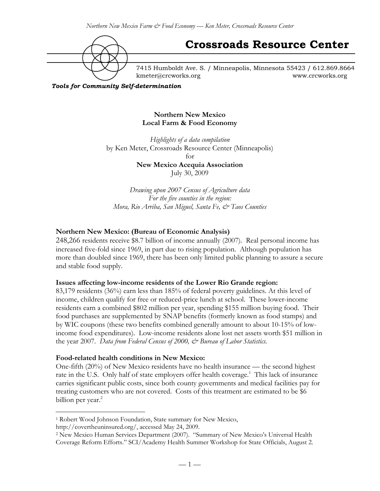

# **Crossroads Resource Center**

7415 Humboldt Ave. S. / Minneapolis, Minnesota 55423 / 612.869.8664 kmeter@crcworks.org www.crcworks.org

*Tools for Community Self-determination*

**Northern New Mexico Local Farm & Food Economy**

*Highlights of a data compilation* by Ken Meter, Crossroads Resource Center (Minneapolis) for **New Mexico Acequia Association**

July 30, 2009

*Drawing upon 2007 Census of Agriculture data For the five counties in the region: Mora, Rio Arriba, San Miguel, Santa Fe, & Taos Counties*

### **Northern New Mexico: (Bureau of Economic Analysis)**

248,266 residents receive \$8.7 billion of income annually (2007). Real personal income has increased five-fold since 1969, in part due to rising population. Although population has more than doubled since 1969, there has been only limited public planning to assure a secure and stable food supply.

#### **Issues affecting low-income residents of the Lower Rio Grande region:**

83,179 residents (36%) earn less than 185% of federal poverty guidelines. At this level of income, children qualify for free or reduced-price lunch at school. These lower-income residents earn a combined \$802 million per year, spending \$155 million buying food. Their food purchases are supplemented by SNAP benefits (formerly known as food stamps) and by WIC coupons (these two benefits combined generally amount to about 10-15% of lowincome food expenditures). Low-income residents alone lost net assets worth \$51 million in the year 2007. *Data from Federal Census of 2000, & Bureau of Labor Statistics.*

#### **Food-related health conditions in New Mexico:**

One-fifth (20%) of New Mexico residents have no health insurance — the second highest rate in the U.S. Only half of state employers offer health coverage.<sup>1</sup> This lack of insurance carries significant public costs, since both county governments and medical facilities pay for treating customers who are not covered. Costs of this treatment are estimated to be \$6 billion per year. $2$ 

 <sup>1</sup> Robert Wood Johnson Foundation, State summary for New Mexico,

http://covertheuninsured.org/, accessed May 24, 2009.

<sup>2</sup> New Mexico Human Services Department (2007). "Summary of New Mexico's Universal Health Coverage Reform Efforts." SCI/Academy Health Summer Workshop for State Officials, August 2.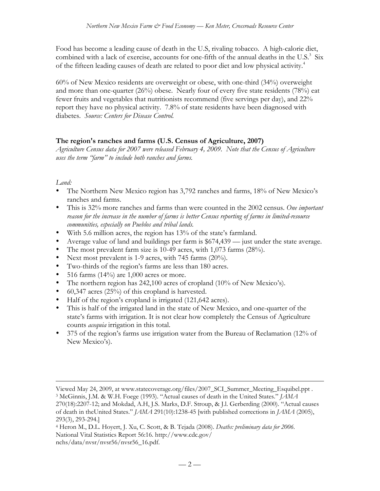Food has become a leading cause of death in the U.S, rivaling tobacco. A high-calorie diet, combined with a lack of exercise, accounts for one-fifth of the annual deaths in the U.S.<sup>3</sup> Six of the fifteen leading causes of death are related to poor diet and low physical activity.<sup>4</sup>

60% of New Mexico residents are overweight or obese, with one-third (34%) overweight and more than one-quarter (26%) obese. Nearly four of every five state residents (78%) eat fewer fruits and vegetables that nutritionists recommend (five servings per day), and 22% report they have no physical activity. 7.8% of state residents have been diagnosed with diabetes. *Source: Centers for Disease Control.*

# **The region's ranches and farms (U.S. Census of Agriculture, 2007)**

*Agriculture Census data for 2007 were released February 4, 2009. Note that the Census of Agriculture uses the term "farm" to include both ranches and farms.*

# *Land:*

 $\overline{a}$ 

- The Northern New Mexico region has 3,792 ranches and farms, 18% of New Mexico's ranches and farms.
- This is 32% more ranches and farms than were counted in the 2002 census. *One important reason for the increase in the number of farms is better Census reporting of farms in limited-resource communities, especially on Pueblos and tribal lands.*
- With 5.6 million acres, the region has 13% of the state's farmland.
- Average value of land and buildings per farm is \$674,439 just under the state average.
- The most prevalent farm size is 10-49 acres, with 1,073 farms (28%).
- Next most prevalent is 1-9 acres, with 745 farms (20%).
- Two-thirds of the region's farms are less than 180 acres.
- 516 farms  $(14\%)$  are 1,000 acres or more.
- The northern region has 242,100 acres of cropland (10% of New Mexico's).
- 60,347 acres (25%) of this cropland is harvested.
- Half of the region's cropland is irrigated (121,642 acres).
- This is half of the irrigated land in the state of New Mexico, and one-quarter of the state's farms with irrigation. It is not clear how completely the Census of Agriculture counts *acequia* irrigation in this total.
- 375 of the region's farms use irrigation water from the Bureau of Reclamation (12% of New Mexico's).

Viewed May 24, 2009, at www.statecoverage.org/files/2007\_SCI\_Summer\_Meeting\_Esquibel.ppt . 3 McGinnis, J.M. & W.H. Foege (1993). "Actual causes of death in the United States." *JAMA*

<sup>270(18):2207-12;</sup> and Mokdad, A.H, J.S. Marks, D.F. Stroup, & J.l. Gerberding (2000). "Actual causes of death in theUnited States." *JAMA* 291(10):1238-45 [with published corrections in *JAMA* (2005), 293(3), 293-294.]

<sup>4</sup> Heron M., D.L. Hoyert, J. Xu, C. Scott, & B. Tejada (2008). *Deaths: preliminary data for 2006.* National Vital Statistics Report 56:16. http://www.cdc.gov/ nchs/data/nvsr/nvsr56/nvsr56\_16.pdf.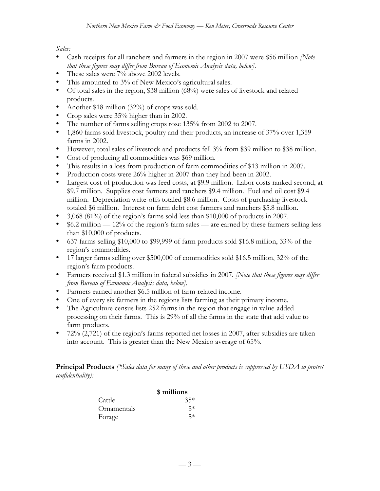*Sales:*

- Cash receipts for all ranchers and farmers in the region in 2007 were \$56 million *[Note that these figures may differ from Bureau of Economic Analysis data, below]*.
- These sales were 7% above 2002 levels.
- This amounted to 3% of New Mexico's agricultural sales.
- Of total sales in the region, \$38 million (68%) were sales of livestock and related products.
- Another \$18 million (32%) of crops was sold.
- Crop sales were 35% higher than in 2002.
- The number of farms selling crops rose 135% from 2002 to 2007.
- 1,860 farms sold livestock, poultry and their products, an increase of 37% over 1,359 farms in 2002.
- However, total sales of livestock and products fell 3% from \$39 million to \$38 million.
- Cost of producing all commodities was \$69 million.
- This results in a loss from production of farm commodities of \$13 million in 2007.
- Production costs were 26% higher in 2007 than they had been in 2002.
- Largest cost of production was feed costs, at \$9.9 million. Labor costs ranked second, at \$9.7 million. Supplies cost farmers and ranchers \$9.4 million. Fuel and oil cost \$9.4 million. Depreciation write-offs totaled \$8.6 million. Costs of purchasing livestock totaled \$6 million. Interest on farm debt cost farmers and ranchers \$5.8 million.
- 3,068 (81%) of the region's farms sold less than \$10,000 of products in 2007.
- $$6.2$  million  $-12\%$  of the region's farm sales  $-$  are earned by these farmers selling less than \$10,000 of products.
- 637 farms selling \$10,000 to \$99,999 of farm products sold \$16.8 million, 33% of the region's commodities.
- 17 larger farms selling over \$500,000 of commodities sold \$16.5 million, 32% of the region's farm products.
- Farmers received \$1.3 million in federal subsidies in 2007. *[Note that these figures may differ from Bureau of Economic Analysis data, below]*.
- Farmers earned another \$6.5 million of farm-related income.
- One of every six farmers in the regions lists farming as their primary income.
- The Agriculture census lists 252 farms in the region that engage in value-added processing on their farms. This is 29% of all the farms in the state that add value to farm products.
- 72% (2,721) of the region's farms reported net losses in 2007, after subsidies are taken into account. This is greater than the New Mexico average of 65%.

**Principal Products** *(\*Sales data for many of these and other products is suppressed by USDA to protect confidentiality):*

|             | \$ millions |
|-------------|-------------|
| Cattle      | $35*$       |
| Ornamentals | 5∗          |
| Forage      | 5*          |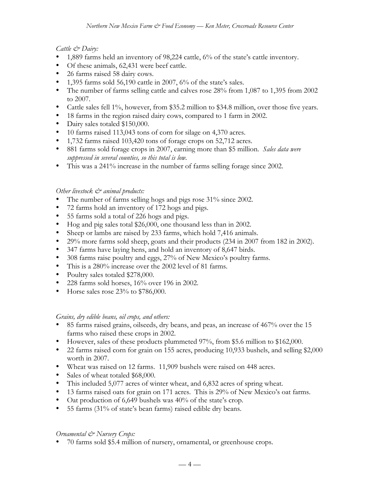# *Cattle & Dairy:*

- 1,889 farms held an inventory of 98,224 cattle, 6% of the state's cattle inventory.
- Of these animals, 62,431 were beef cattle.
- 26 farms raised 58 dairy cows.
- 1,395 farms sold 56,190 cattle in 2007,  $6\%$  of the state's sales.
- The number of farms selling cattle and calves rose 28% from 1,087 to 1,395 from 2002 to 2007.
- Cattle sales fell 1%, however, from \$35.2 million to \$34.8 million, over those five years.
- 18 farms in the region raised dairy cows, compared to 1 farm in 2002.
- Dairy sales totaled \$150,000.
- 10 farms raised 113,043 tons of corn for silage on 4,370 acres.
- 1,732 farms raised 103,420 tons of forage crops on 52,712 acres.
- 881 farms sold forage crops in 2007, earning more than \$5 million. *Sales data were suppressed in several counties, so this total is low.*
- This was a 241% increase in the number of farms selling forage since 2002.

# *Other livestock & animal products:*

- The number of farms selling hogs and pigs rose 31% since 2002.
- 72 farms hold an inventory of 172 hogs and pigs.
- 55 farms sold a total of 226 hogs and pigs.
- Hog and pig sales total \$26,000, one thousand less than in 2002.
- Sheep or lambs are raised by 233 farms, which hold 7,416 animals.
- 29% more farms sold sheep, goats and their products (234 in 2007 from 182 in 2002).
- 347 farms have laying hens, and hold an inventory of 8,647 birds.
- 308 farms raise poultry and eggs, 27% of New Mexico's poultry farms.
- This is a 280% increase over the 2002 level of 81 farms.
- Poultry sales totaled \$278,000.
- 228 farms sold horses, 16% over 196 in 2002.
- Horse sales rose 23% to \$786,000.

# *Grains, dry edible beans, oil crops, and others:*

- 85 farms raised grains, oilseeds, dry beans, and peas, an increase of 467% over the 15 farms who raised these crops in 2002.
- However, sales of these products plummeted 97%, from \$5.6 million to \$162,000.
- 22 farms raised corn for grain on 155 acres, producing 10,933 bushels, and selling \$2,000 worth in 2007.
- Wheat was raised on 12 farms. 11,909 bushels were raised on 448 acres.
- Sales of wheat totaled \$68,000.
- This included 5,077 acres of winter wheat, and 6,832 acres of spring wheat.
- 13 farms raised oats for grain on 171 acres. This is 29% of New Mexico's oat farms.
- Oat production of 6,649 bushels was 40% of the state's crop.
- 55 farms (31% of state's bean farms) raised edible dry beans.

# *Ornamental & Nursery Crops:*

• 70 farms sold \$5.4 million of nursery, ornamental, or greenhouse crops.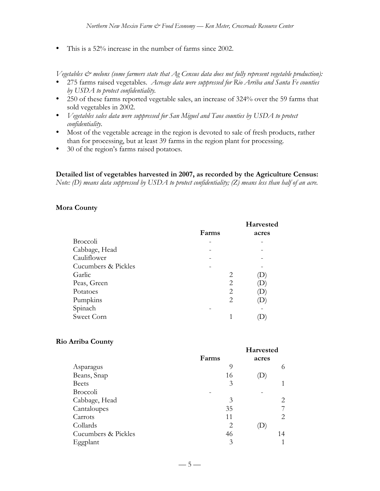• This is a 52% increase in the number of farms since 2002.

*Vegetables & melons (some farmers state that Ag Census data does not fully represent vegetable production):*

- 275 farms raised vegetables. *Acreage data were suppressed for Rio Arriba and Santa Fe counties by USDA to protect confidentiality.*
- 250 of these farms reported vegetable sales, an increase of 324% over the 59 farms that sold vegetables in 2002.
- *Vegetables sales data were suppressed for San Miguel and Taos counties by USDA to protect confidentiality.*
- Most of the vegetable acreage in the region is devoted to sale of fresh products, rather than for processing, but at least 39 farms in the region plant for processing.
- 30 of the region's farms raised potatoes.

#### **Detailed list of vegetables harvested in 2007, as recorded by the Agriculture Census:**

*Note: (D) means data suppressed by USDA to protect confidentiality; (Z) means less than half of an acre.*

#### **Mora County**

|                     |       | Harvested |
|---------------------|-------|-----------|
|                     | Farms | acres     |
| Broccoli            |       |           |
| Cabbage, Head       |       |           |
| Cauliflower         |       |           |
| Cucumbers & Pickles |       |           |
| Garlic              | 2     |           |
| Peas, Green         | 2     |           |
| Potatoes            | 2     |           |
| Pumpkins            | 2     |           |
| Spinach             |       |           |
| Sweet Corn          |       |           |
|                     |       |           |

#### **Rio Arriba County**

|                     |       | Harvested                  |
|---------------------|-------|----------------------------|
|                     | Farms | acres                      |
| Asparagus           | 9     | 6                          |
| Beans, Snap         | 16    | D                          |
| <b>Beets</b>        | 3     | 1                          |
| Broccoli            |       |                            |
| Cabbage, Head       | 3     | 2                          |
| Cantaloupes         | 35    |                            |
| Carrots             | 11    | 2                          |
| Collards            | 2     | $\left( \mathrm{D}\right)$ |
| Cucumbers & Pickles | 46    | 14                         |
| Eggplant            | 3     |                            |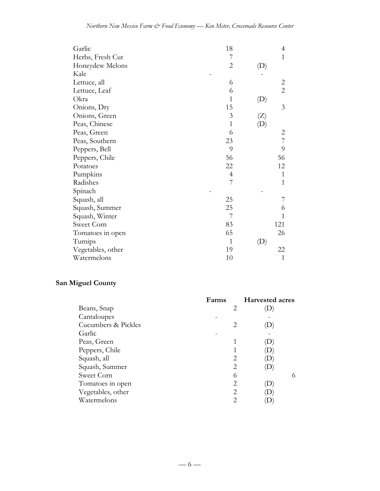| Garlic            | 18             |     | 4              |
|-------------------|----------------|-----|----------------|
| Herbs, Fresh Cut  | 7              |     | 1              |
| Honeydew Melons   | $\overline{2}$ | (D) |                |
| Kale              |                |     |                |
| Lettuce, all      | 6              |     | $\overline{2}$ |
| Lettuce, Leaf     | 6              |     | $\overline{2}$ |
| Okra              | 1              | (D) |                |
| Onions, Dry       | 15             |     | 3              |
| Onions, Green     | 3              | (Z) |                |
| Peas, Chinese     | $\mathbf{1}$   | (D) |                |
| Peas, Green       | 6              |     | 2              |
| Peas, Southern    | 23             |     | $\overline{7}$ |
| Peppers, Bell     | 9              |     | 9              |
| Peppers, Chile    | 56             |     | 56             |
| Potatoes          | 22             |     | 12             |
| Pumpkins          | 4              |     | 1              |
| Radishes          | 7              |     | 1              |
| Spinach           |                |     |                |
| Squash, all       | 25             |     |                |
| Squash, Summer    | 25             |     | 6              |
| Squash, Winter    | 7              |     | 1              |
| Sweet Corn        | 83             |     | 121            |
| Tomatoes in open  | 65             |     | 26             |
| Turnips           | 1              | (D) |                |
| Vegetables, other | 19             |     | 22             |
| Watermelons       | 10             |     | $\mathbf{1}$   |

# **San Miguel County**

|                     | Farms |   | <b>Harvested acres</b> |
|---------------------|-------|---|------------------------|
| Beans, Snap         |       | 2 |                        |
| Cantaloupes         |       |   |                        |
| Cucumbers & Pickles |       | 2 |                        |
| Garlic              |       |   |                        |
| Peas, Green         |       |   |                        |
| Peppers, Chile      |       |   |                        |
| Squash, all         |       | 2 |                        |
| Squash, Summer      |       | 2 |                        |
| Sweet Corn          |       | 6 | 6                      |
| Tomatoes in open    |       | 2 |                        |
| Vegetables, other   |       | 2 |                        |
| Watermelons         |       | 2 |                        |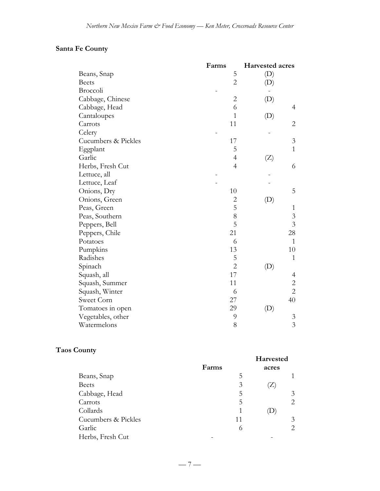# **Santa Fe County**

|                     | Farms          | Harvested acres |
|---------------------|----------------|-----------------|
| Beans, Snap         | 5              | (D)             |
| <b>Beets</b>        | $\overline{2}$ | (D)             |
| Broccoli            |                |                 |
| Cabbage, Chinese    | $\overline{c}$ | (D)             |
| Cabbage, Head       | 6              | 4               |
| Cantaloupes         | $\mathbf{1}$   | (D)             |
| Carrots             | 11             | 2               |
| Celery              |                |                 |
| Cucumbers & Pickles | 17             | 3               |
| Eggplant            | 5              | $\mathbf{1}$    |
| Garlic              | $\overline{4}$ | (Z)             |
| Herbs, Fresh Cut    | $\overline{4}$ | 6               |
| Lettuce, all        |                |                 |
| Lettuce, Leaf       |                |                 |
| Onions, Dry         | 10             | 5               |
| Onions, Green       | $\mathbf{2}$   | (D)             |
| Peas, Green         | 5              | $\mathbf{1}$    |
| Peas, Southern      | 8              | 3               |
| Peppers, Bell       | 5              | $\overline{3}$  |
| Peppers, Chile      | 21             | 28              |
| Potatoes            | 6              | $\mathbf{1}$    |
| Pumpkins            | 13             | 10              |
| Radishes            | 5              | $\mathbf{1}$    |
| Spinach             | $\overline{2}$ | (D)             |
| Squash, all         | 17             | 4               |
| Squash, Summer      | 11             | $\overline{c}$  |
| Squash, Winter      | 6              | $\overline{2}$  |
| Sweet Corn          | 27             | 40              |
| Tomatoes in open    | 29             | (D)             |
| Vegetables, other   | 9              | 3               |
| Watermelons         | 8              | $\overline{3}$  |

# **Taos County**

| ----                | Farms | Harvested<br>acres |
|---------------------|-------|--------------------|
| Beans, Snap         | 5     |                    |
| <b>Beets</b>        | 3     | $\overline{L}$     |
| Cabbage, Head       | 5     | 3                  |
| Carrots             | 5     | $\overline{2}$     |
| Collards            | 1     | $\cup$             |
| Cucumbers & Pickles | 11    | 3                  |
| Garlic              | 6     | $\overline{2}$     |
| Herbs, Fresh Cut    |       |                    |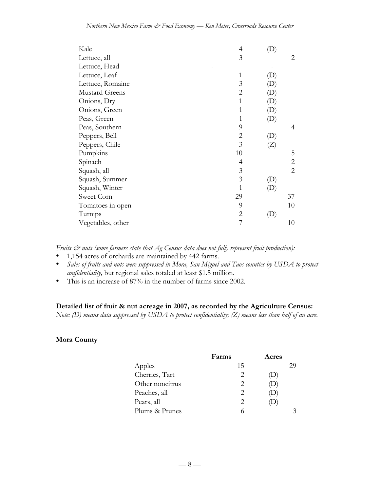| Kale                  | $\overline{4}$ | $\left( \mathrm{D}\right)$ |                |
|-----------------------|----------------|----------------------------|----------------|
| Lettuce, all          | 3              |                            | 2              |
| Lettuce, Head         |                |                            |                |
| Lettuce, Leaf         | 1              | $\left( \mathrm{D}\right)$ |                |
| Lettuce, Romaine      | 3              | $\left( \mathrm{D}\right)$ |                |
| <b>Mustard Greens</b> | 2              | $\left( \mathrm{D}\right)$ |                |
| Onions, Dry           | $\mathbf{1}$   | $\left( \mathrm{D}\right)$ |                |
| Onions, Green         | 1              | $\left( \mathrm{D}\right)$ |                |
| Peas, Green           | 1              | (D)                        |                |
| Peas, Southern        | 9              |                            | 4              |
| Peppers, Bell         | 2              | $\left( \mathrm{D}\right)$ |                |
| Peppers, Chile        | 3              | $(\mathrm{Z})$             |                |
| Pumpkins              | 10             |                            | 5              |
| Spinach               | 4              |                            | 2              |
| Squash, all           | 3              |                            | $\overline{2}$ |
| Squash, Summer        | 3              | $\left( \mathrm{D}\right)$ |                |
| Squash, Winter        | 1              | (D)                        |                |
| Sweet Corn            | 29             |                            | 37             |
| Tomatoes in open      | 9              |                            | 10             |
| Turnips               | 2              | (D)                        |                |
| Vegetables, other     | 7              |                            | 10             |

*Fruits & nuts (some farmers state that Ag Census data does not fully represent fruit production):*

- 1,154 acres of orchards are maintained by 442 farms.
- *Sales of fruits and nuts were suppressed in Mora, San Miguel and Taos counties by USDA to protect confidentiality,* but regional sales totaled at least \$1.5 million.
- This is an increase of 87% in the number of farms since 2002.

### **Detailed list of fruit & nut acreage in 2007, as recorded by the Agriculture Census:**

*Note: (D) means data suppressed by USDA to protect confidentiality; (Z) means less than half of an acre.*

# **Mora County**

|                 | Farms                       | Acres                      |
|-----------------|-----------------------------|----------------------------|
| Apples          | 15                          | 29                         |
| Cherries, Tart  | 2                           | $\left( \mathrm{L}\right)$ |
| Other noncitrus | 2                           | $\mathbf{D}$               |
| Peaches, all    | 2                           | $\mathbf{D}$               |
| Pears, all      | $\mathcal{D}_{\mathcal{L}}$ | D                          |
| Plums & Prunes  | 6                           |                            |
|                 |                             |                            |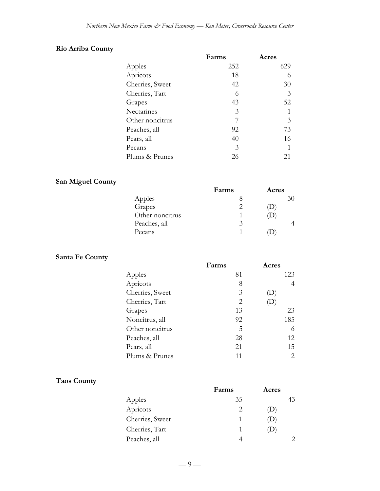# **Rio Arriba County**

| Farms | Acres |
|-------|-------|
| 252   | 629   |
| 18    |       |
| 42    | 30    |
| 6     | 3     |
| 43    | 52    |
| 3     |       |
|       | 3     |
| 92    | 73    |
| 40    | 16    |
| 3     | 1     |
| 26    | 21    |
|       |       |

# **San Miguel County**

|                 | Farms | Acres |
|-----------------|-------|-------|
| Apples          |       |       |
| Grapes          |       |       |
| Other noncitrus |       |       |
| Peaches, all    | 3     |       |
| Pecans          |       |       |

# **Santa Fe County**

|                 | Farms | Acres                      |
|-----------------|-------|----------------------------|
| Apples          | 81    | 123                        |
| Apricots        | 8     | 4                          |
| Cherries, Sweet | 3     | $\left( \mathrm{L}\right)$ |
| Cherries, Tart  | 2     |                            |
| Grapes          | 13    | 23                         |
| Noncitrus, all  | 92    | 185                        |
| Other noncitrus | 5     | 6                          |
| Peaches, all    | 28    | 12                         |
| Pears, all      | 21    | 15                         |
| Plums & Prunes  | 11    | 2                          |

# **Taos County**

|                 | Farms | Acres                      |
|-----------------|-------|----------------------------|
| Apples          | 35    | 43                         |
| Apricots        | 2     | $\left( \mathrm{L}\right)$ |
| Cherries, Sweet |       | $\mathbf D$                |
| Cherries, Tart  |       | $\mathbf U$                |
| Peaches, all    |       |                            |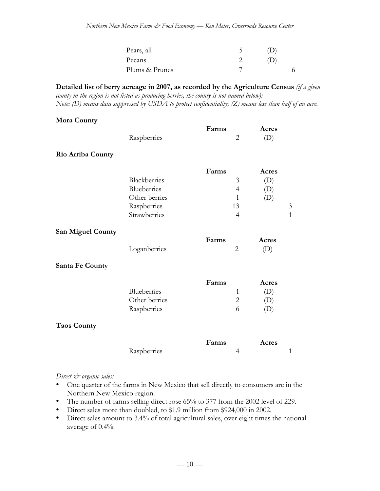| Pears, all     |  |  |
|----------------|--|--|
| Pecans         |  |  |
| Plums & Prunes |  |  |

**Detailed list of berry acreage in 2007, as recorded by the Agriculture Census** *(if a given county in the region is not listed as producing berries, the county is not named below): Note: (D) means data suppressed by USDA to protect confidentiality; (Z) means less than half of an acre.*

| <b>Mora County</b>       |                                                                             | Farms                                        | Acres                                             |
|--------------------------|-----------------------------------------------------------------------------|----------------------------------------------|---------------------------------------------------|
|                          | Raspberries                                                                 | $\overline{2}$                               | (D)                                               |
| Rio Arriba County        |                                                                             |                                              |                                                   |
|                          | Blackberries<br>Blueberries<br>Other berries<br>Raspberries<br>Strawberries | Farms<br>3<br>4<br>1<br>13<br>$\overline{4}$ | Acres<br>(D)<br>(D)<br>(D)<br>3<br>$\overline{1}$ |
| <b>San Miguel County</b> | Loganberries                                                                | Farms<br>$\overline{2}$                      | Acres<br>(D)                                      |
| Santa Fe County          |                                                                             |                                              |                                                   |
|                          | Blueberries<br>Other berries<br>Raspberries                                 | Farms<br>1<br>$\mathbf{2}$<br>6              | Acres<br>(D)<br>(D)<br>(D)                        |
| <b>Taos County</b>       |                                                                             |                                              |                                                   |
|                          | Raspberries                                                                 | Farms<br>4                                   | Acres<br>1                                        |

#### *Direct & organic sales:*

- One quarter of the farms in New Mexico that sell directly to consumers are in the Northern New Mexico region.
- The number of farms selling direct rose 65% to 377 from the 2002 level of 229.
- Direct sales more than doubled, to \$1.9 million from \$924,000 in 2002.
- Direct sales amount to 3.4% of total agricultural sales, over eight times the national average of 0.4%.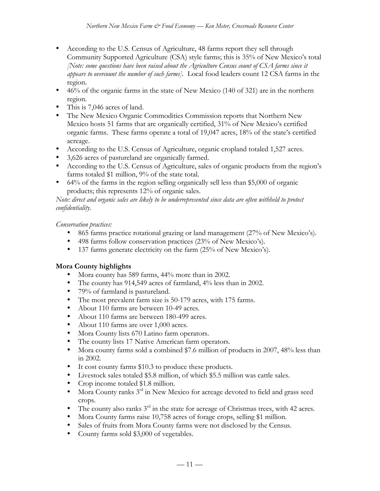- According to the U.S. Census of Agriculture, 48 farms report they sell through Community Supported Agriculture (CSA) style farms; this is 35% of New Mexico's total *[Note: some questions have been raised about the Agriculture Census count of CSA farms since it appears to overcount the number of such farms].* Local food leaders count 12 CSA farms in the region.
- 46% of the organic farms in the state of New Mexico (140 of 321) are in the northern region.
- This is 7,046 acres of land.
- The New Mexico Organic Commodities Commission reports that Northern New Mexico hosts 51 farms that are organically certified, 31% of New Mexico's certified organic farms. These farms operate a total of 19,047 acres, 18% of the state's certified acreage.
- According to the U.S. Census of Agriculture, organic cropland totaled 1,527 acres.
- 3,626 acres of pastureland are organically farmed.
- According to the U.S. Census of Agriculture, sales of organic products from the region's farms totaled \$1 million, 9% of the state total.
- 64% of the farms in the region selling organically sell less than \$5,000 of organic products; this represents 12% of organic sales.

*Note: direct and organic sales are likely to be underrepresented since data are often withheld to protect confidentiality.*

### *Conservation practices:*

- 865 farms practice rotational grazing or land management (27% of New Mexico's).
- 498 farms follow conservation practices (23% of New Mexico's).
- 137 farms generate electricity on the farm (25% of New Mexico's).

### **Mora County highlights**

- Mora county has 589 farms, 44% more than in 2002.
- The county has 914,549 acres of farmland, 4% less than in 2002.
- 79% of farmland is pastureland.
- The most prevalent farm size is 50-179 acres, with 175 farms.
- About 110 farms are between 10-49 acres.
- About 110 farms are between 180-499 acres.
- About 110 farms are over 1,000 acres.
- Mora County lists 670 Latino farm operators.
- The county lists 17 Native American farm operators.
- Mora county farms sold a combined \$7.6 million of products in 2007, 48% less than in 2002.
- It cost county farms \$10.3 to produce these products.
- Livestock sales totaled \$5.8 million, of which \$5.5 million was cattle sales.
- Crop income totaled \$1.8 million.
- Mora County ranks  $3<sup>rd</sup>$  in New Mexico for acreage devoted to field and grass seed crops.
- The county also ranks  $3<sup>rd</sup>$  in the state for acreage of Christmas trees, with 42 acres.
- Mora County farms raise 10,758 acres of forage crops, selling \$1 million.
- Sales of fruits from Mora County farms were not disclosed by the Census.
- County farms sold \$3,000 of vegetables.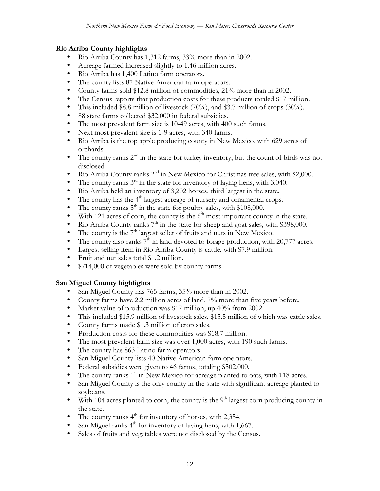# **Rio Arriba County highlights**

- Rio Arriba County has 1,312 farms, 33% more than in 2002.
- Acreage farmed increased slightly to 1.46 million acres.
- Rio Arriba has 1,400 Latino farm operators.
- The county lists 87 Native American farm operators.
- County farms sold \$12.8 million of commodities, 21% more than in 2002.
- The Census reports that production costs for these products totaled \$17 million.
- This included \$8.8 million of livestock (70%), and \$3.7 million of crops (30%).
- 88 state farms collected \$32,000 in federal subsidies.
- The most prevalent farm size is 10-49 acres, with 400 such farms.
- Next most prevalent size is 1-9 acres, with 340 farms.
- Rio Arriba is the top apple producing county in New Mexico, with 629 acres of orchards.
- The county ranks  $2<sup>nd</sup>$  in the state for turkey inventory, but the count of birds was not disclosed.
- Rio Arriba County ranks  $2<sup>nd</sup>$  in New Mexico for Christmas tree sales, with \$2,000.
- The county ranks  $3<sup>rd</sup>$  in the state for inventory of laying hens, with 3,040.
- Rio Arriba held an inventory of 3,202 horses, third largest in the state.
- The county has the  $4<sup>th</sup>$  largest acreage of nursery and ornamental crops.
- The county ranks  $5<sup>th</sup>$  in the state for poultry sales, with \$108,000.
- With 121 acres of corn, the county is the  $6<sup>th</sup>$  most important county in the state.
- Rio Arriba County ranks  $7<sup>th</sup>$  in the state for sheep and goat sales, with \$398,000.<br>• The county is the  $7<sup>th</sup>$  largest seller of fruits and nuts in New Mexico.
- The county is the 7<sup>th</sup> largest seller of fruits and nuts in New Mexico.
- The county also ranks 7<sup>th</sup> in land devoted to forage production, with 20,777 acres.
- Largest selling item in Rio Arriba County is cattle, with \$7.9 million.
- Fruit and nut sales total \$1.2 million.
- \$714,000 of vegetables were sold by county farms.

# **San Miguel County highlights**

- San Miguel County has 765 farms, 35% more than in 2002.
- County farms have 2.2 million acres of land, 7% more than five years before.
- Market value of production was \$17 million, up 40% from 2002.
- This included \$15.9 million of livestock sales, \$15.5 million of which was cattle sales.
- County farms made \$1.3 million of crop sales.
- Production costs for these commodities was \$18.7 million.
- The most prevalent farm size was over 1,000 acres, with 190 such farms.
- The county has 863 Latino farm operators.
- San Miguel County lists 40 Native American farm operators.
- Federal subsidies were given to 46 farms, totaling \$502,000.
- The county ranks 1<sup>st</sup> in New Mexico for acreage planted to oats, with 118 acres.
- San Miguel County is the only county in the state with significant acreage planted to soybeans.
- With 104 acres planted to corn, the county is the  $9<sup>th</sup>$  largest corn producing county in the state.
- The county ranks  $4<sup>th</sup>$  for inventory of horses, with 2,354.
- San Miguel ranks 4<sup>th</sup> for inventory of laying hens, with 1,667.
- Sales of fruits and vegetables were not disclosed by the Census.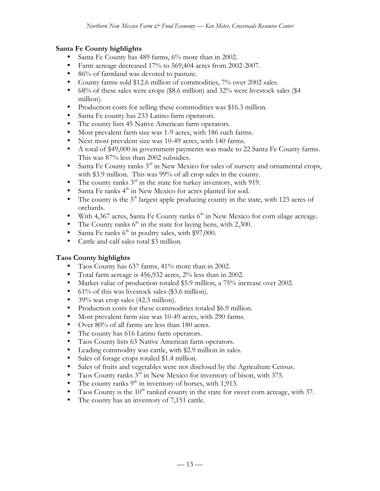### **Santa Fe County highlights**

- Santa Fe County has 489 farms, 6% more than in 2002.
- Farm acreage decreased 17% to 569,404 acres from 2002-2007.
- 86% of farmland was devoted to pasture.
- County farms sold \$12.6 million of commodities, 7% over 2002 sales.
- 68% of these sales were crops (\$8.6 million) and 32% were livestock sales (\$4 million).
- Production costs for selling these commodities was \$16.3 million.
- Santa Fe county has 233 Latino farm operators.
- The county lists 45 Native American farm operators.
- Most prevalent farm size was 1-9 acres, with 186 such farms.
- Next most prevalent size was 10-49 acres, with 140 farms.
- A total of \$49,000 in government payments was made to 22 Santa Fe County farms. This was 87% less than 2002 subsidies.
- Santa Fe County ranks  $3<sup>rd</sup>$  in New Mexico for sales of nursery and ornamental crops, with \$3.9 million. This was 99% of all crop sales in the county.
- The county ranks  $3<sup>rd</sup>$  in the state for turkey inventory, with 919.
- Santa Fe ranks 4<sup>th</sup> in New Mexico for acres planted for sod.
- The county is the  $5<sup>th</sup>$  largest apple producing county in the state, with 123 acres of orchards.
- With 4,367 acres, Santa Fe County ranks  $6<sup>th</sup>$  in New Mexico for corn silage acreage.
- The County ranks  $6<sup>th</sup>$  in the state for laying hens, with 2,300.
- Santa Fe ranks  $6<sup>th</sup>$  in poultry sales, with \$97,000.
- Cattle and calf sales total \$3 million.

### **Taos County highlights**

- Taos County has 637 farms, 41% more than in 2002.
- Total farm acreage is 456,932 acres, 2% less than in 2002.
- Market value of production totaled \$5.9 million, a 75% increase over 2002.
- 61% of this was livestock sales (\$3.6 million).
- 39% was crop sales (42.3 million).
- Production costs for these commodities totaled \$6.9 million.
- Most prevalent farm size was 10-49 acres, with 290 farms.
- Over 80% of all farms are less than 180 acres.
- The county has 616 Latino farm operators.
- Taos County lists 63 Native American farm operators.
- Leading commodity was cattle, with \$2.9 million in sales.
- Sales of forage crops totaled \$1.4 million.
- Sales of fruits and vegetables were not disclosed by the Agriculture Census.
- Taos County ranks 3rd in New Mexico for inventory of bison, with 375.
- The county ranks  $9<sup>th</sup>$  in inventory of horses, with 1,913.
- Taos County is the  $10<sup>th</sup>$  ranked county in the state for sweet corn acreage, with 37.
- The county has an inventory of 7,151 cattle.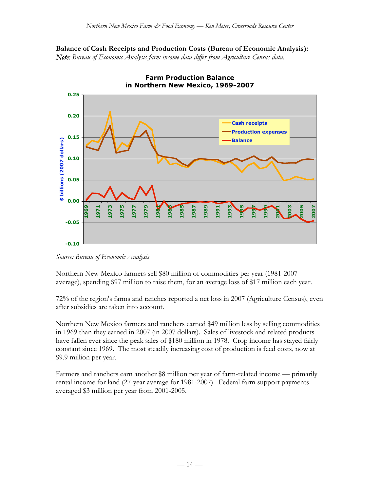



**Farm Production Balance** 

Northern New Mexico farmers sell \$80 million of commodities per year (1981-2007 average), spending \$97 million to raise them, for an average loss of \$17 million each year.

72% of the region's farms and ranches reported a net loss in 2007 (Agriculture Census), even after subsidies are taken into account.

Northern New Mexico farmers and ranchers earned \$49 million less by selling commodities in 1969 than they earned in 2007 (in 2007 dollars). Sales of livestock and related products have fallen ever since the peak sales of \$180 million in 1978. Crop income has stayed fairly constant since 1969. The most steadily increasing cost of production is feed costs, now at \$9.9 million per year.

Farmers and ranchers earn another \$8 million per year of farm-related income — primarily rental income for land (27-year average for 1981-2007). Federal farm support payments averaged \$3 million per year from 2001-2005.

*Source: Bureau of Economic Analysis*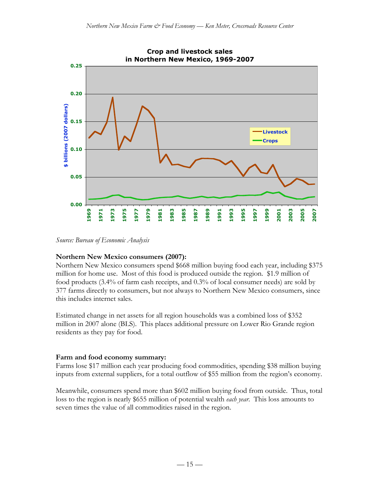

*Source: Bureau of Economic Analysis*

# **Northern New Mexico consumers (2007):**

Northern New Mexico consumers spend \$668 million buying food each year, including \$375 million for home use. Most of this food is produced outside the region. \$1.9 million of food products (3.4% of farm cash receipts, and 0.3% of local consumer needs) are sold by 377 farms directly to consumers, but not always to Northern New Mexico consumers, since this includes internet sales.

Estimated change in net assets for all region households was a combined loss of \$352 million in 2007 alone (BLS). This places additional pressure on Lower Rio Grande region residents as they pay for food.

# **Farm and food economy summary:**

Farms lose \$17 million each year producing food commodities, spending \$38 million buying inputs from external suppliers, for a total outflow of \$55 million from the region's economy.

Meanwhile, consumers spend more than \$602 million buying food from outside. Thus, total loss to the region is nearly \$655 million of potential wealth *each year*. This loss amounts to seven times the value of all commodities raised in the region.